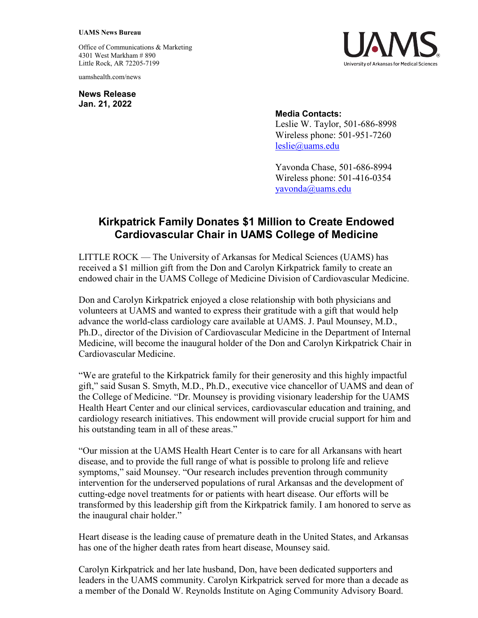## **UAMS News Bureau**

Office of Communications & Marketing 4301 West Markham # 890 Little Rock, AR 72205-7199

uamshealth.com/news

**News Release Jan. 21, 2022**



## **Media Contacts:**

Leslie W. Taylor, 501-686-8998 Wireless phone: 501-951-7260 [leslie@uams.edu](mailto:leslie@uams.edu)

Yavonda Chase, 501-686-8994 Wireless phone: 501-416-0354 [yavonda@uams.edu](mailto:yavonda@uams.edu)

## **Kirkpatrick Family Donates \$1 Million to Create Endowed Cardiovascular Chair in UAMS College of Medicine**

LITTLE ROCK — The University of Arkansas for Medical Sciences (UAMS) has received a \$1 million gift from the Don and Carolyn Kirkpatrick family to create an endowed chair in the UAMS College of Medicine Division of Cardiovascular Medicine.

Don and Carolyn Kirkpatrick enjoyed a close relationship with both physicians and volunteers at UAMS and wanted to express their gratitude with a gift that would help advance the world-class cardiology care available at UAMS. J. Paul Mounsey, M.D., Ph.D., director of the Division of Cardiovascular Medicine in the Department of Internal Medicine, will become the inaugural holder of the Don and Carolyn Kirkpatrick Chair in Cardiovascular Medicine.

"We are grateful to the Kirkpatrick family for their generosity and this highly impactful gift," said Susan S. Smyth, M.D., Ph.D., executive vice chancellor of UAMS and dean of the College of Medicine. "Dr. Mounsey is providing visionary leadership for the UAMS Health Heart Center and our clinical services, cardiovascular education and training, and cardiology research initiatives. This endowment will provide crucial support for him and his outstanding team in all of these areas."

"Our mission at the UAMS Health Heart Center is to care for all Arkansans with heart disease, and to provide the full range of what is possible to prolong life and relieve symptoms," said Mounsey. "Our research includes prevention through community intervention for the underserved populations of rural Arkansas and the development of cutting-edge novel treatments for or patients with heart disease. Our efforts will be transformed by this leadership gift from the Kirkpatrick family. I am honored to serve as the inaugural chair holder."

Heart disease is the leading cause of premature death in the United States, and Arkansas has one of the higher death rates from heart disease, Mounsey said.

Carolyn Kirkpatrick and her late husband, Don, have been dedicated supporters and leaders in the UAMS community. Carolyn Kirkpatrick served for more than a decade as a member of the Donald W. Reynolds Institute on Aging Community Advisory Board.